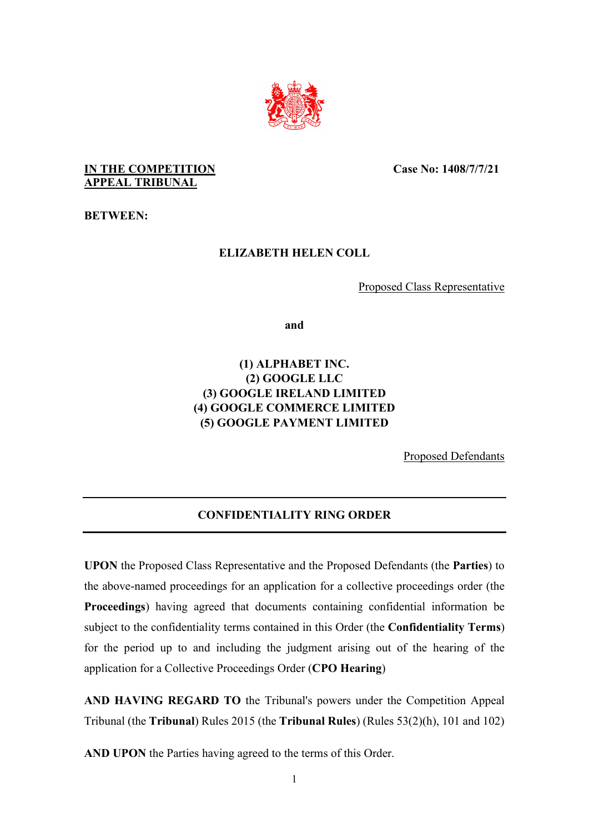

**IN THE COMPETITION APPEAL TRIBUNAL**

**Case No: 1408/7/7/21** 

**BETWEEN:** 

## **ELIZABETH HELEN COLL**

Proposed Class Representative

**and** 

# **(1) ALPHABET INC. (2) GOOGLE LLC (3) GOOGLE IRELAND LIMITED (4) GOOGLE COMMERCE LIMITED (5) GOOGLE PAYMENT LIMITED**

Proposed Defendants

# **CONFIDENTIALITY RING ORDER**

**UPON** the Proposed Class Representative and the Proposed Defendants (the **Parties**) to the above-named proceedings for an application for a collective proceedings order (the **Proceedings**) having agreed that documents containing confidential information be subject to the confidentiality terms contained in this Order (the **Confidentiality Terms**) for the period up to and including the judgment arising out of the hearing of the application for a Collective Proceedings Order (**CPO Hearing**)

**AND HAVING REGARD TO** the Tribunal's powers under the Competition Appeal Tribunal (the **Tribunal**) Rules 2015 (the **Tribunal Rules**) (Rules 53(2)(h), 101 and 102)

**AND UPON** the Parties having agreed to the terms of this Order.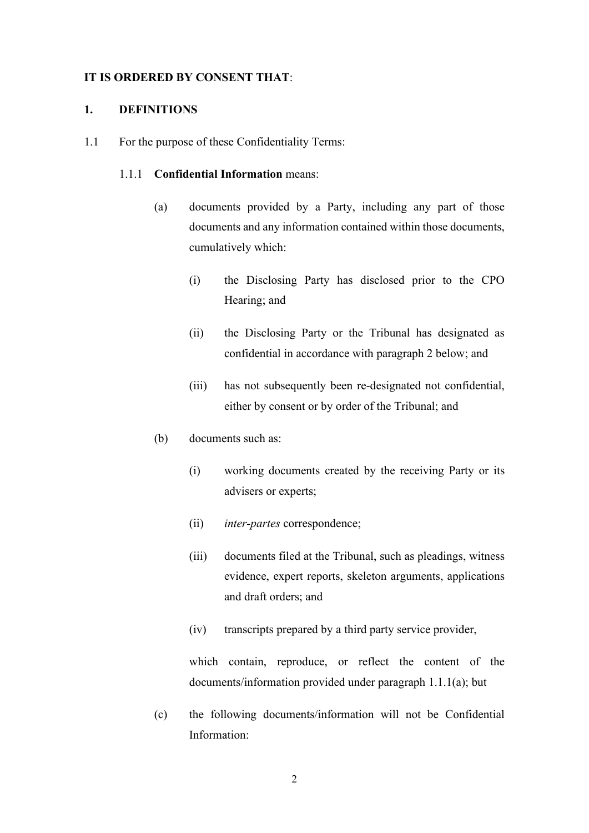### **IT IS ORDERED BY CONSENT THAT**:

### **1. DEFINITIONS**

1.1 For the purpose of these Confidentiality Terms:

#### 1.1.1 **Confidential Information** means:

- (a) documents provided by a Party, including any part of those documents and any information contained within those documents, cumulatively which:
	- (i) the Disclosing Party has disclosed prior to the CPO Hearing; and
	- (ii) the Disclosing Party or the Tribunal has designated as confidential in accordance with paragraph 2 below; and
	- (iii) has not subsequently been re-designated not confidential, either by consent or by order of the Tribunal; and
- (b) documents such as:
	- (i) working documents created by the receiving Party or its advisers or experts;
	- (ii) *inter-partes* correspondence;
	- (iii) documents filed at the Tribunal, such as pleadings, witness evidence, expert reports, skeleton arguments, applications and draft orders; and
	- (iv) transcripts prepared by a third party service provider,

which contain, reproduce, or reflect the content of the documents/information provided under paragraph 1.1.1(a); but

(c) the following documents/information will not be Confidential Information: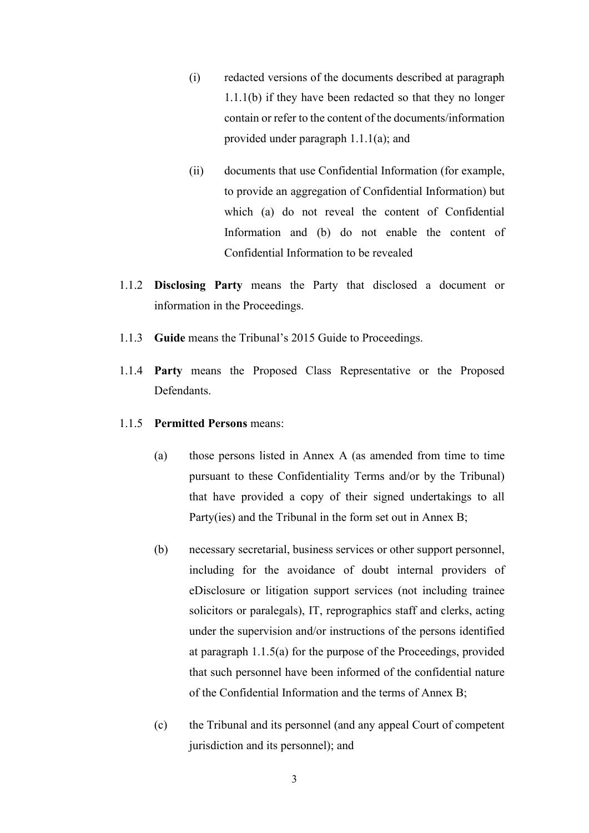- (i) redacted versions of the documents described at paragraph 1.1.1(b) if they have been redacted so that they no longer contain or refer to the content of the documents/information provided under paragraph 1.1.1(a); and
- (ii) documents that use Confidential Information (for example, to provide an aggregation of Confidential Information) but which (a) do not reveal the content of Confidential Information and (b) do not enable the content of Confidential Information to be revealed
- 1.1.2 **Disclosing Party** means the Party that disclosed a document or information in the Proceedings.
- 1.1.3 **Guide** means the Tribunal's 2015 Guide to Proceedings.
- 1.1.4 **Party** means the Proposed Class Representative or the Proposed Defendants.

## 1.1.5 **Permitted Persons** means:

- (a) those persons listed in Annex A (as amended from time to time pursuant to these Confidentiality Terms and/or by the Tribunal) that have provided a copy of their signed undertakings to all Party(ies) and the Tribunal in the form set out in Annex B;
- (b) necessary secretarial, business services or other support personnel, including for the avoidance of doubt internal providers of eDisclosure or litigation support services (not including trainee solicitors or paralegals), IT, reprographics staff and clerks, acting under the supervision and/or instructions of the persons identified at paragraph 1.1.5(a) for the purpose of the Proceedings, provided that such personnel have been informed of the confidential nature of the Confidential Information and the terms of Annex B;
- (c) the Tribunal and its personnel (and any appeal Court of competent jurisdiction and its personnel); and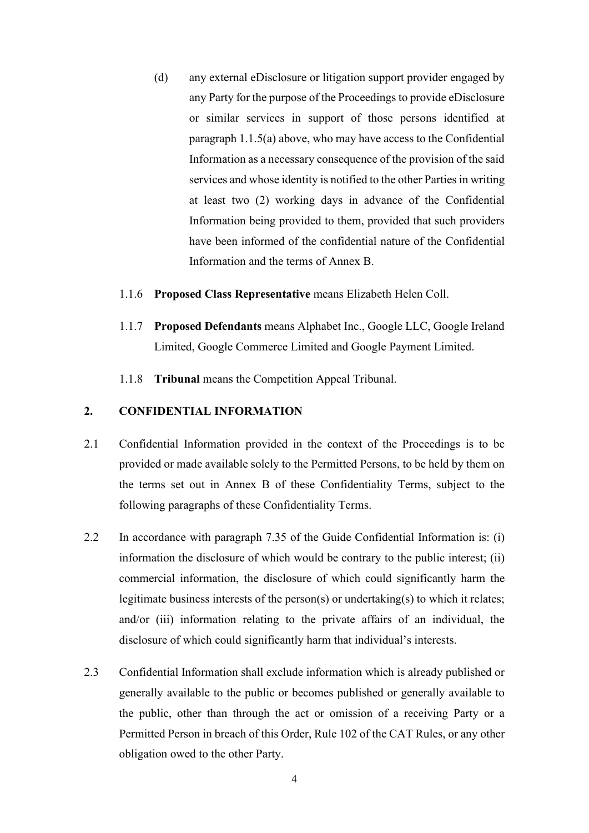- (d) any external eDisclosure or litigation support provider engaged by any Party for the purpose of the Proceedings to provide eDisclosure or similar services in support of those persons identified at paragraph 1.1.5(a) above, who may have access to the Confidential Information as a necessary consequence of the provision of the said services and whose identity is notified to the other Parties in writing at least two (2) working days in advance of the Confidential Information being provided to them, provided that such providers have been informed of the confidential nature of the Confidential Information and the terms of Annex B.
- 1.1.6 **Proposed Class Representative** means Elizabeth Helen Coll.
- 1.1.7 **Proposed Defendants** means Alphabet Inc., Google LLC, Google Ireland Limited, Google Commerce Limited and Google Payment Limited.
- 1.1.8 **Tribunal** means the Competition Appeal Tribunal.

### **2. CONFIDENTIAL INFORMATION**

- 2.1 Confidential Information provided in the context of the Proceedings is to be provided or made available solely to the Permitted Persons, to be held by them on the terms set out in Annex B of these Confidentiality Terms, subject to the following paragraphs of these Confidentiality Terms.
- 2.2 In accordance with paragraph 7.35 of the Guide Confidential Information is: (i) information the disclosure of which would be contrary to the public interest; (ii) commercial information, the disclosure of which could significantly harm the legitimate business interests of the person(s) or undertaking(s) to which it relates; and/or (iii) information relating to the private affairs of an individual, the disclosure of which could significantly harm that individual's interests.
- 2.3 Confidential Information shall exclude information which is already published or generally available to the public or becomes published or generally available to the public, other than through the act or omission of a receiving Party or a Permitted Person in breach of this Order, Rule 102 of the CAT Rules, or any other obligation owed to the other Party.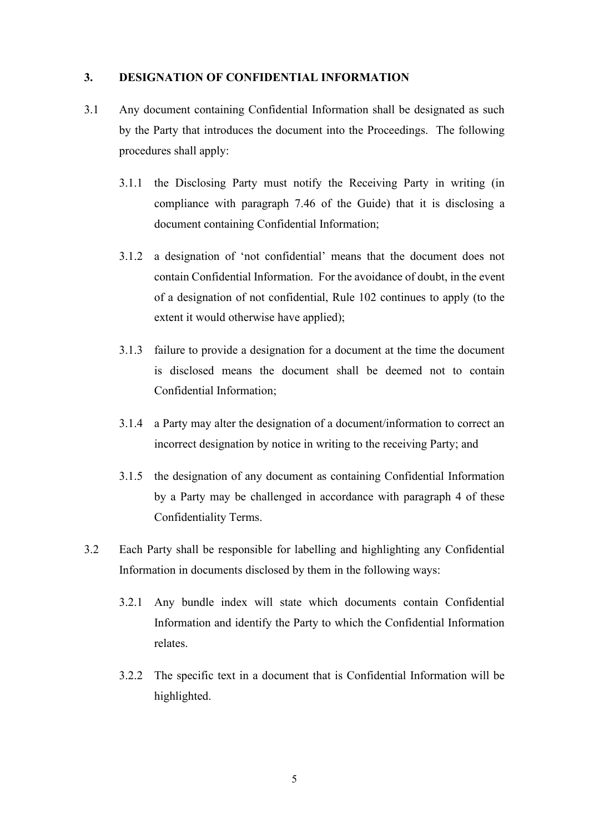### **3. DESIGNATION OF CONFIDENTIAL INFORMATION**

- 3.1 Any document containing Confidential Information shall be designated as such by the Party that introduces the document into the Proceedings. The following procedures shall apply:
	- 3.1.1 the Disclosing Party must notify the Receiving Party in writing (in compliance with paragraph 7.46 of the Guide) that it is disclosing a document containing Confidential Information;
	- 3.1.2 a designation of 'not confidential' means that the document does not contain Confidential Information. For the avoidance of doubt, in the event of a designation of not confidential, Rule 102 continues to apply (to the extent it would otherwise have applied);
	- 3.1.3 failure to provide a designation for a document at the time the document is disclosed means the document shall be deemed not to contain Confidential Information;
	- 3.1.4 a Party may alter the designation of a document/information to correct an incorrect designation by notice in writing to the receiving Party; and
	- 3.1.5 the designation of any document as containing Confidential Information by a Party may be challenged in accordance with paragraph 4 of these Confidentiality Terms.
- 3.2 Each Party shall be responsible for labelling and highlighting any Confidential Information in documents disclosed by them in the following ways:
	- 3.2.1 Any bundle index will state which documents contain Confidential Information and identify the Party to which the Confidential Information relates.
	- 3.2.2 The specific text in a document that is Confidential Information will be highlighted.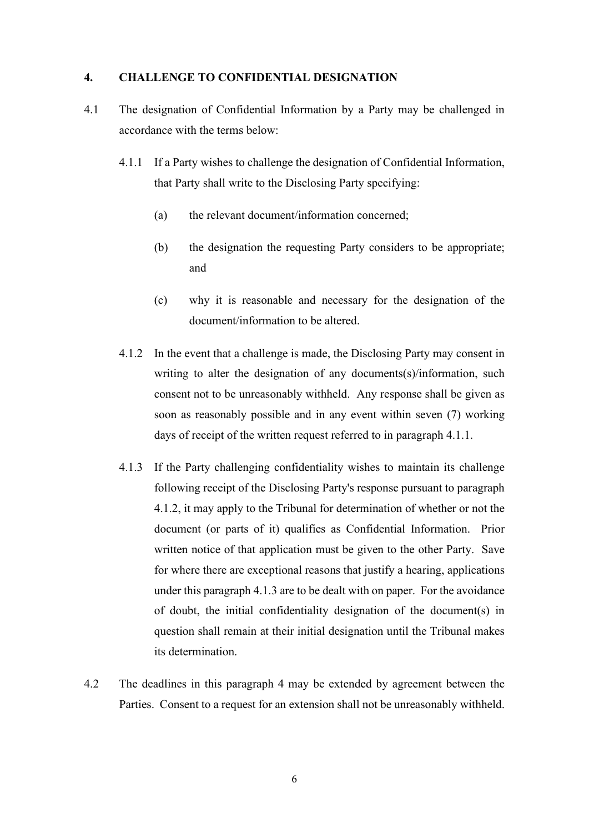### **4. CHALLENGE TO CONFIDENTIAL DESIGNATION**

- 4.1 The designation of Confidential Information by a Party may be challenged in accordance with the terms below:
	- 4.1.1 If a Party wishes to challenge the designation of Confidential Information, that Party shall write to the Disclosing Party specifying:
		- (a) the relevant document/information concerned;
		- (b) the designation the requesting Party considers to be appropriate; and
		- (c) why it is reasonable and necessary for the designation of the document/information to be altered.
	- 4.1.2 In the event that a challenge is made, the Disclosing Party may consent in writing to alter the designation of any documents(s)/information, such consent not to be unreasonably withheld. Any response shall be given as soon as reasonably possible and in any event within seven (7) working days of receipt of the written request referred to in paragraph 4.1.1.
	- 4.1.3 If the Party challenging confidentiality wishes to maintain its challenge following receipt of the Disclosing Party's response pursuant to paragraph 4.1.2, it may apply to the Tribunal for determination of whether or not the document (or parts of it) qualifies as Confidential Information. Prior written notice of that application must be given to the other Party. Save for where there are exceptional reasons that justify a hearing, applications under this paragraph 4.1.3 are to be dealt with on paper. For the avoidance of doubt, the initial confidentiality designation of the document(s) in question shall remain at their initial designation until the Tribunal makes its determination.
- 4.2 The deadlines in this paragraph 4 may be extended by agreement between the Parties. Consent to a request for an extension shall not be unreasonably withheld.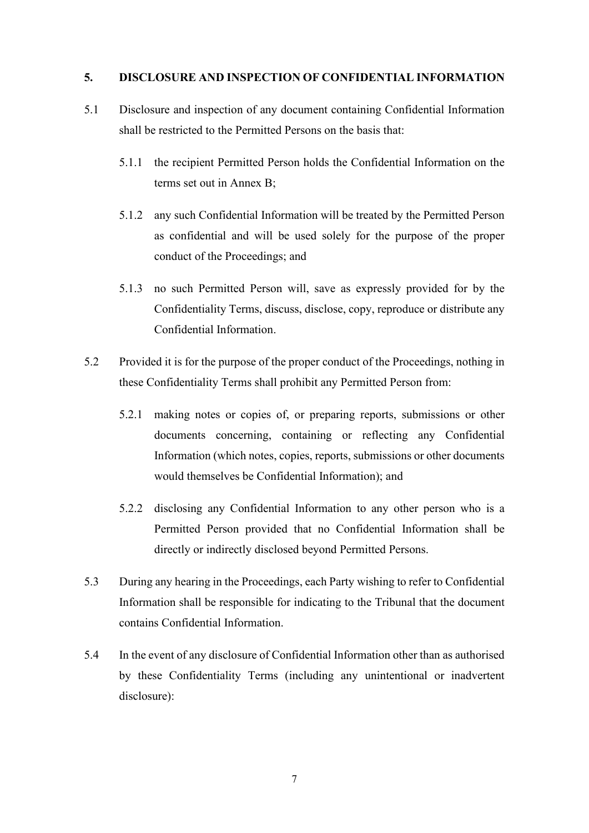### **5. DISCLOSURE AND INSPECTION OF CONFIDENTIAL INFORMATION**

- 5.1 Disclosure and inspection of any document containing Confidential Information shall be restricted to the Permitted Persons on the basis that:
	- 5.1.1 the recipient Permitted Person holds the Confidential Information on the terms set out in Annex B;
	- 5.1.2 any such Confidential Information will be treated by the Permitted Person as confidential and will be used solely for the purpose of the proper conduct of the Proceedings; and
	- 5.1.3 no such Permitted Person will, save as expressly provided for by the Confidentiality Terms, discuss, disclose, copy, reproduce or distribute any Confidential Information.
- 5.2 Provided it is for the purpose of the proper conduct of the Proceedings, nothing in these Confidentiality Terms shall prohibit any Permitted Person from:
	- 5.2.1 making notes or copies of, or preparing reports, submissions or other documents concerning, containing or reflecting any Confidential Information (which notes, copies, reports, submissions or other documents would themselves be Confidential Information); and
	- 5.2.2 disclosing any Confidential Information to any other person who is a Permitted Person provided that no Confidential Information shall be directly or indirectly disclosed beyond Permitted Persons.
- 5.3 During any hearing in the Proceedings, each Party wishing to refer to Confidential Information shall be responsible for indicating to the Tribunal that the document contains Confidential Information.
- 5.4 In the event of any disclosure of Confidential Information other than as authorised by these Confidentiality Terms (including any unintentional or inadvertent disclosure):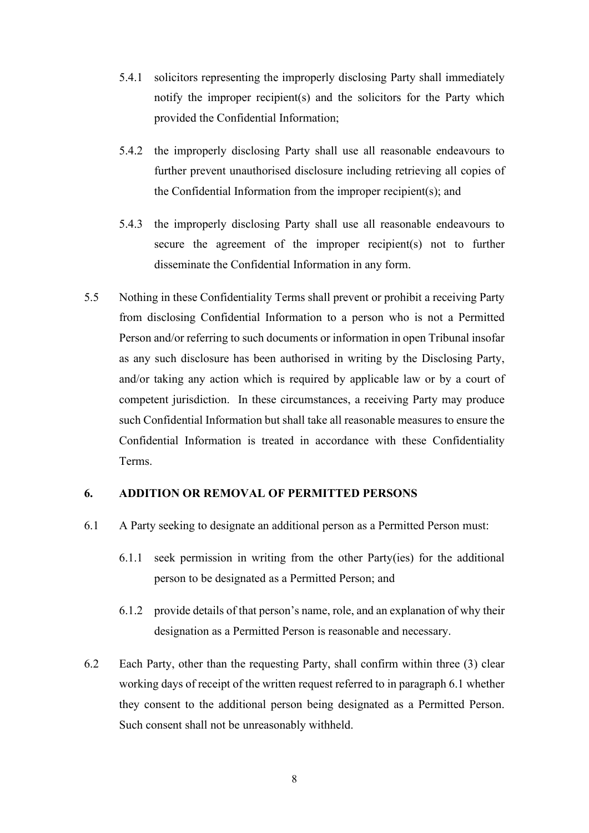- 5.4.1 solicitors representing the improperly disclosing Party shall immediately notify the improper recipient(s) and the solicitors for the Party which provided the Confidential Information;
- 5.4.2 the improperly disclosing Party shall use all reasonable endeavours to further prevent unauthorised disclosure including retrieving all copies of the Confidential Information from the improper recipient(s); and
- 5.4.3 the improperly disclosing Party shall use all reasonable endeavours to secure the agreement of the improper recipient(s) not to further disseminate the Confidential Information in any form.
- 5.5 Nothing in these Confidentiality Terms shall prevent or prohibit a receiving Party from disclosing Confidential Information to a person who is not a Permitted Person and/or referring to such documents or information in open Tribunal insofar as any such disclosure has been authorised in writing by the Disclosing Party, and/or taking any action which is required by applicable law or by a court of competent jurisdiction. In these circumstances, a receiving Party may produce such Confidential Information but shall take all reasonable measures to ensure the Confidential Information is treated in accordance with these Confidentiality Terms.

### **6. ADDITION OR REMOVAL OF PERMITTED PERSONS**

- 6.1 A Party seeking to designate an additional person as a Permitted Person must:
	- 6.1.1 seek permission in writing from the other Party(ies) for the additional person to be designated as a Permitted Person; and
	- 6.1.2 provide details of that person's name, role, and an explanation of why their designation as a Permitted Person is reasonable and necessary.
- 6.2 Each Party, other than the requesting Party, shall confirm within three (3) clear working days of receipt of the written request referred to in paragraph 6.1 whether they consent to the additional person being designated as a Permitted Person. Such consent shall not be unreasonably withheld.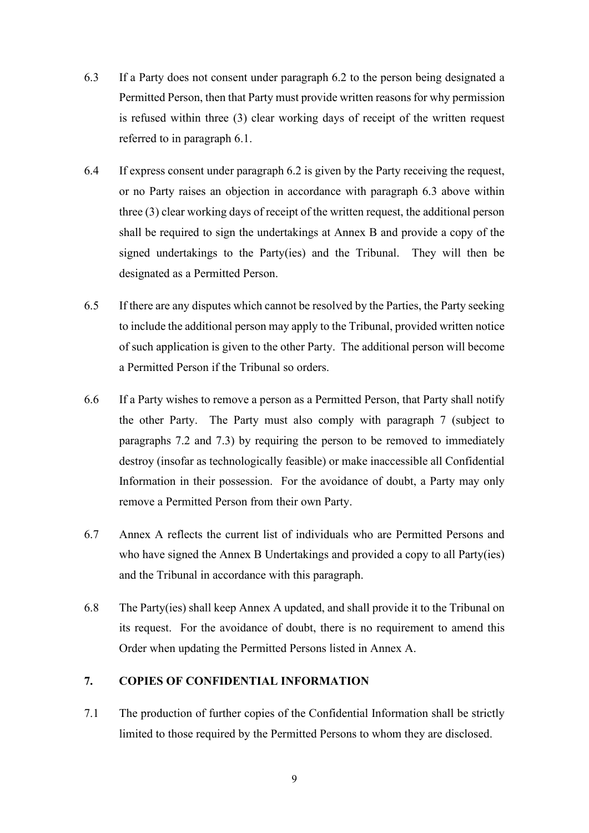- 6.3 If a Party does not consent under paragraph 6.2 to the person being designated a Permitted Person, then that Party must provide written reasons for why permission is refused within three (3) clear working days of receipt of the written request referred to in paragraph 6.1.
- 6.4 If express consent under paragraph 6.2 is given by the Party receiving the request, or no Party raises an objection in accordance with paragraph 6.3 above within three (3) clear working days of receipt of the written request, the additional person shall be required to sign the undertakings at Annex B and provide a copy of the signed undertakings to the Party(ies) and the Tribunal. They will then be designated as a Permitted Person.
- 6.5 If there are any disputes which cannot be resolved by the Parties, the Party seeking to include the additional person may apply to the Tribunal, provided written notice of such application is given to the other Party. The additional person will become a Permitted Person if the Tribunal so orders.
- 6.6 If a Party wishes to remove a person as a Permitted Person, that Party shall notify the other Party. The Party must also comply with paragraph 7 (subject to paragraphs 7.2 and 7.3) by requiring the person to be removed to immediately destroy (insofar as technologically feasible) or make inaccessible all Confidential Information in their possession. For the avoidance of doubt, a Party may only remove a Permitted Person from their own Party.
- 6.7 Annex A reflects the current list of individuals who are Permitted Persons and who have signed the Annex B Undertakings and provided a copy to all Party(ies) and the Tribunal in accordance with this paragraph.
- 6.8 The Party(ies) shall keep Annex A updated, and shall provide it to the Tribunal on its request. For the avoidance of doubt, there is no requirement to amend this Order when updating the Permitted Persons listed in Annex A.

## **7. COPIES OF CONFIDENTIAL INFORMATION**

7.1 The production of further copies of the Confidential Information shall be strictly limited to those required by the Permitted Persons to whom they are disclosed.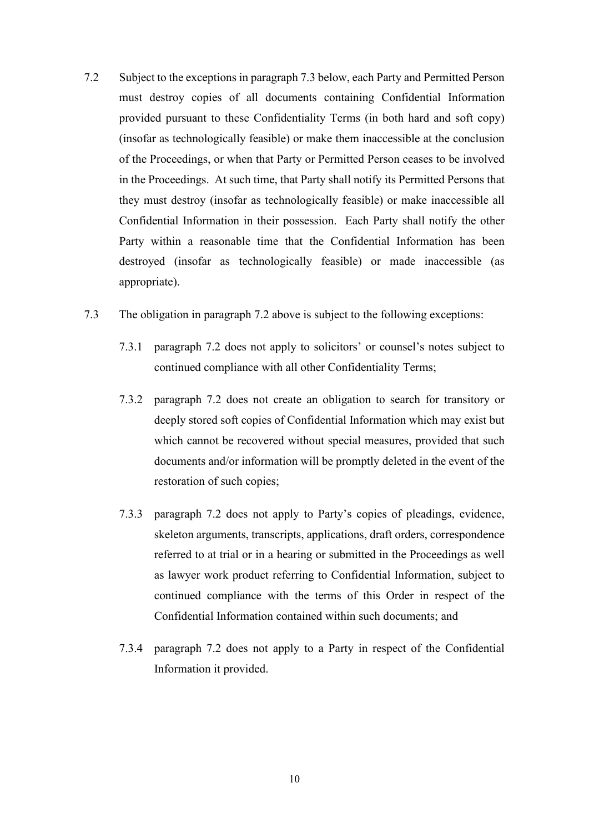- 7.2 Subject to the exceptions in paragraph 7.3 below, each Party and Permitted Person must destroy copies of all documents containing Confidential Information provided pursuant to these Confidentiality Terms (in both hard and soft copy) (insofar as technologically feasible) or make them inaccessible at the conclusion of the Proceedings, or when that Party or Permitted Person ceases to be involved in the Proceedings. At such time, that Party shall notify its Permitted Persons that they must destroy (insofar as technologically feasible) or make inaccessible all Confidential Information in their possession. Each Party shall notify the other Party within a reasonable time that the Confidential Information has been destroyed (insofar as technologically feasible) or made inaccessible (as appropriate).
- 7.3 The obligation in paragraph 7.2 above is subject to the following exceptions:
	- 7.3.1 paragraph 7.2 does not apply to solicitors' or counsel's notes subject to continued compliance with all other Confidentiality Terms;
	- 7.3.2 paragraph 7.2 does not create an obligation to search for transitory or deeply stored soft copies of Confidential Information which may exist but which cannot be recovered without special measures, provided that such documents and/or information will be promptly deleted in the event of the restoration of such copies;
	- 7.3.3 paragraph 7.2 does not apply to Party's copies of pleadings, evidence, skeleton arguments, transcripts, applications, draft orders, correspondence referred to at trial or in a hearing or submitted in the Proceedings as well as lawyer work product referring to Confidential Information, subject to continued compliance with the terms of this Order in respect of the Confidential Information contained within such documents; and
	- 7.3.4 paragraph 7.2 does not apply to a Party in respect of the Confidential Information it provided.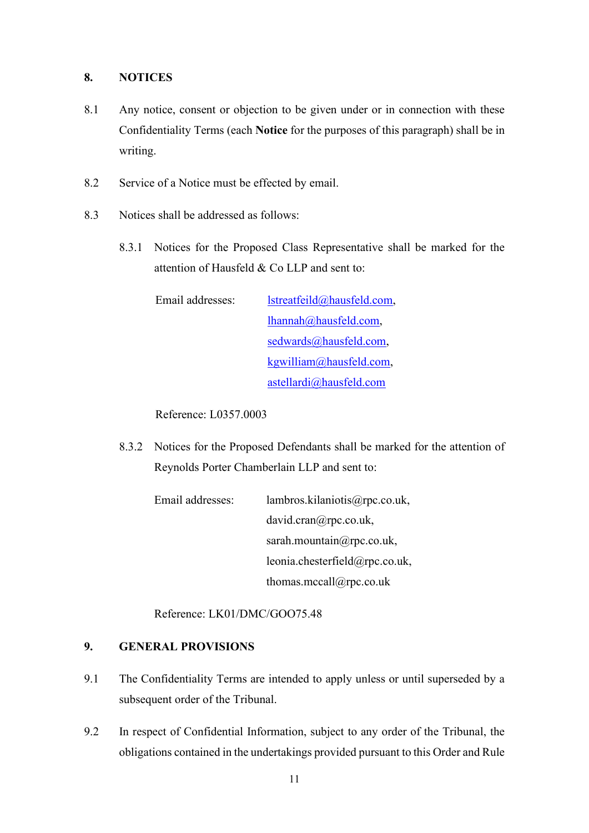### **8. NOTICES**

- 8.1 Any notice, consent or objection to be given under or in connection with these Confidentiality Terms (each **Notice** for the purposes of this paragraph) shall be in writing.
- 8.2 Service of a Notice must be effected by email.
- 8.3 Notices shall be addressed as follows:
	- 8.3.1 Notices for the Proposed Class Representative shall be marked for the attention of Hausfeld & Co LLP and sent to:

Email addresses: lstreatfeild@hausfeld.com, lhannah@hausfeld.com, sedwards@hausfeld.com, kgwilliam@hausfeld.com, astellardi@hausfeld.com

Reference: L0357.0003

8.3.2 Notices for the Proposed Defendants shall be marked for the attention of Reynolds Porter Chamberlain LLP and sent to:

| Email addresses: | lambros.kilaniotis@rpc.co.uk,  |
|------------------|--------------------------------|
|                  | david.cran@rpc.co.uk,          |
|                  | sarah.mountain $@$ rpc.co.uk,  |
|                  | leonia.chesterfield@rpc.co.uk, |
|                  | thomas.mccall@rpc.co.uk        |

Reference: LK01/DMC/GOO75.48

## **9. GENERAL PROVISIONS**

- 9.1 The Confidentiality Terms are intended to apply unless or until superseded by a subsequent order of the Tribunal.
- 9.2 In respect of Confidential Information, subject to any order of the Tribunal, the obligations contained in the undertakings provided pursuant to this Order and Rule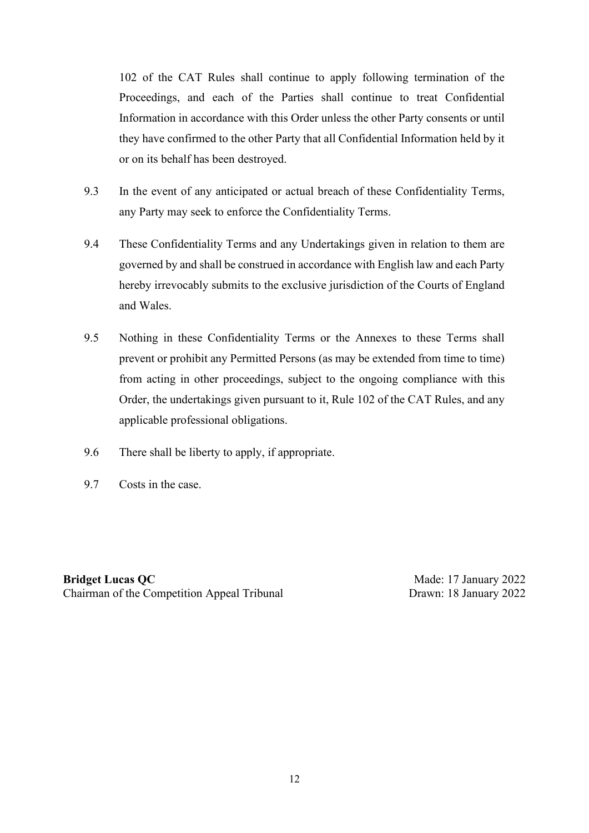102 of the CAT Rules shall continue to apply following termination of the Proceedings, and each of the Parties shall continue to treat Confidential Information in accordance with this Order unless the other Party consents or until they have confirmed to the other Party that all Confidential Information held by it or on its behalf has been destroyed.

- 9.3 In the event of any anticipated or actual breach of these Confidentiality Terms, any Party may seek to enforce the Confidentiality Terms.
- 9.4 These Confidentiality Terms and any Undertakings given in relation to them are governed by and shall be construed in accordance with English law and each Party hereby irrevocably submits to the exclusive jurisdiction of the Courts of England and Wales.
- 9.5 Nothing in these Confidentiality Terms or the Annexes to these Terms shall prevent or prohibit any Permitted Persons (as may be extended from time to time) from acting in other proceedings, subject to the ongoing compliance with this Order, the undertakings given pursuant to it, Rule 102 of the CAT Rules, and any applicable professional obligations.
- 9.6 There shall be liberty to apply, if appropriate.
- 9.7 Costs in the case.

**Bridget Lucas QC** Chairman of the Competition Appeal Tribunal

Made: 17 January 2022 Drawn: 18 January 2022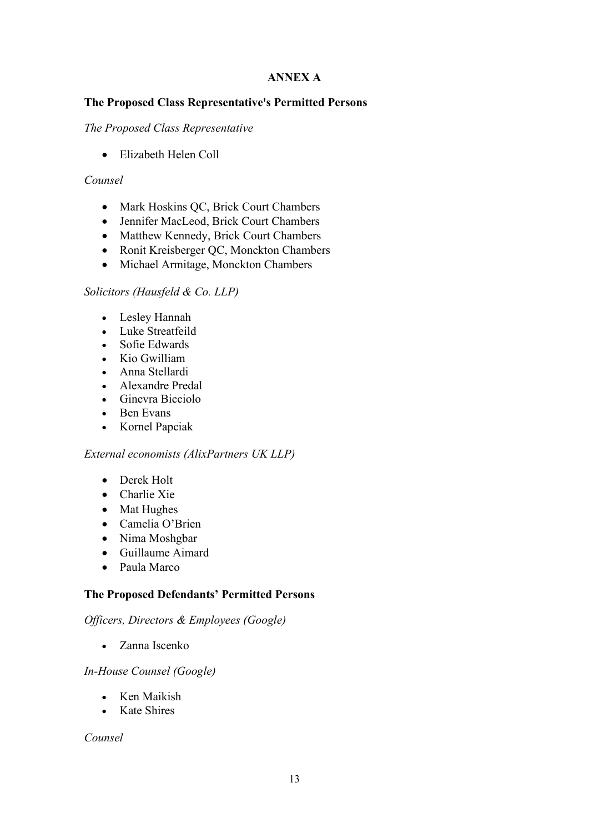## **ANNEX A**

## **The Proposed Class Representative's Permitted Persons**

### *The Proposed Class Representative*

• Elizabeth Helen Coll

## *Counsel*

- Mark Hoskins QC, Brick Court Chambers
- Jennifer MacLeod, Brick Court Chambers
- Matthew Kennedy, Brick Court Chambers
- Ronit Kreisberger QC, Monckton Chambers
- Michael Armitage, Monckton Chambers

## *Solicitors (Hausfeld & Co. LLP)*

- Lesley Hannah
- Luke Streatfeild
- Sofie Edwards
- Kio Gwilliam
- Anna Stellardi
- Alexandre Predal
- Ginevra Bicciolo
- Ben Evans
- Kornel Papciak

### *External economists (AlixPartners UK LLP)*

- Derek Holt
- Charlie Xie
- Mat Hughes
- Camelia O'Brien
- Nima Moshgbar
- Guillaume Aimard
- Paula Marco

### **The Proposed Defendants' Permitted Persons**

### *Officers, Directors & Employees (Google)*

• Zanna Iscenko

### *In-House Counsel (Google)*

- Ken Maikish
- Kate Shires

*Counsel*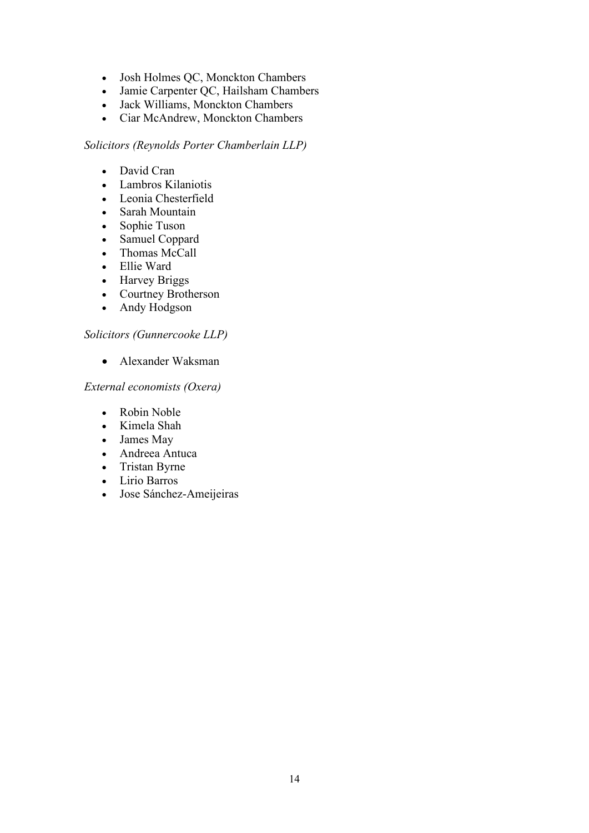- Josh Holmes QC, Monckton Chambers
- Jamie Carpenter QC, Hailsham Chambers
- Jack Williams, Monckton Chambers
- Ciar McAndrew, Monckton Chambers

#### *Solicitors (Reynolds Porter Chamberlain LLP)*

- David Cran
- Lambros Kilaniotis
- Leonia Chesterfield
- Sarah Mountain
- Sophie Tuson
- Samuel Coppard
- Thomas McCall
- Ellie Ward
- Harvey Briggs
- Courtney Brotherson
- Andy Hodgson

## *Solicitors (Gunnercooke LLP)*

• Alexander Waksman

## *External economists (Oxera)*

- Robin Noble
- Kimela Shah
- James May
- Andreea Antuca
- Tristan Byrne
- Lirio Barros
- Jose Sánchez-Ameijeiras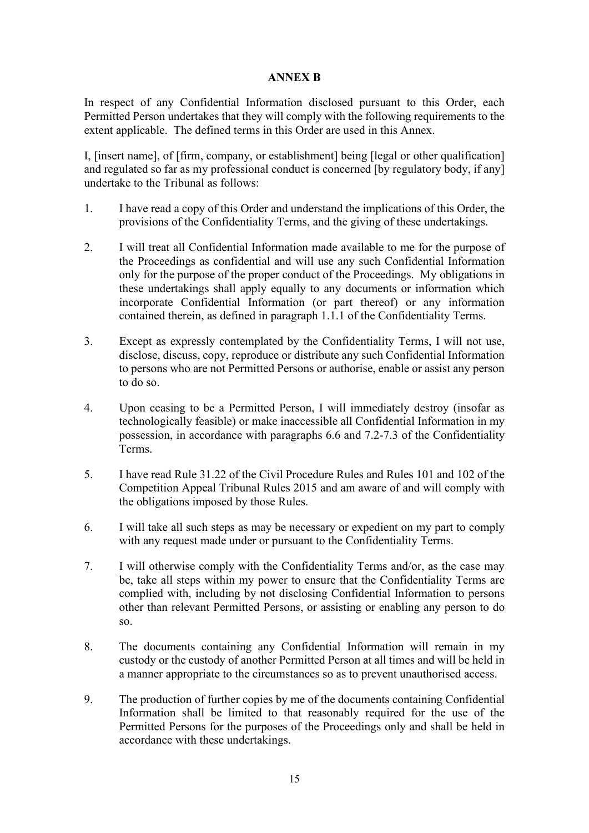## **ANNEX B**

In respect of any Confidential Information disclosed pursuant to this Order, each Permitted Person undertakes that they will comply with the following requirements to the extent applicable. The defined terms in this Order are used in this Annex.

I, [insert name], of [firm, company, or establishment] being [legal or other qualification] and regulated so far as my professional conduct is concerned [by regulatory body, if any] undertake to the Tribunal as follows:

- 1. I have read a copy of this Order and understand the implications of this Order, the provisions of the Confidentiality Terms, and the giving of these undertakings.
- 2. I will treat all Confidential Information made available to me for the purpose of the Proceedings as confidential and will use any such Confidential Information only for the purpose of the proper conduct of the Proceedings. My obligations in these undertakings shall apply equally to any documents or information which incorporate Confidential Information (or part thereof) or any information contained therein, as defined in paragraph 1.1.1 of the Confidentiality Terms.
- 3. Except as expressly contemplated by the Confidentiality Terms, I will not use, disclose, discuss, copy, reproduce or distribute any such Confidential Information to persons who are not Permitted Persons or authorise, enable or assist any person to do so.
- 4. Upon ceasing to be a Permitted Person, I will immediately destroy (insofar as technologically feasible) or make inaccessible all Confidential Information in my possession, in accordance with paragraphs 6.6 and 7.2-7.3 of the Confidentiality Terms.
- 5. I have read Rule 31.22 of the Civil Procedure Rules and Rules 101 and 102 of the Competition Appeal Tribunal Rules 2015 and am aware of and will comply with the obligations imposed by those Rules.
- 6. I will take all such steps as may be necessary or expedient on my part to comply with any request made under or pursuant to the Confidentiality Terms.
- 7. I will otherwise comply with the Confidentiality Terms and/or, as the case may be, take all steps within my power to ensure that the Confidentiality Terms are complied with, including by not disclosing Confidential Information to persons other than relevant Permitted Persons, or assisting or enabling any person to do so.
- 8. The documents containing any Confidential Information will remain in my custody or the custody of another Permitted Person at all times and will be held in a manner appropriate to the circumstances so as to prevent unauthorised access.
- 9. The production of further copies by me of the documents containing Confidential Information shall be limited to that reasonably required for the use of the Permitted Persons for the purposes of the Proceedings only and shall be held in accordance with these undertakings.